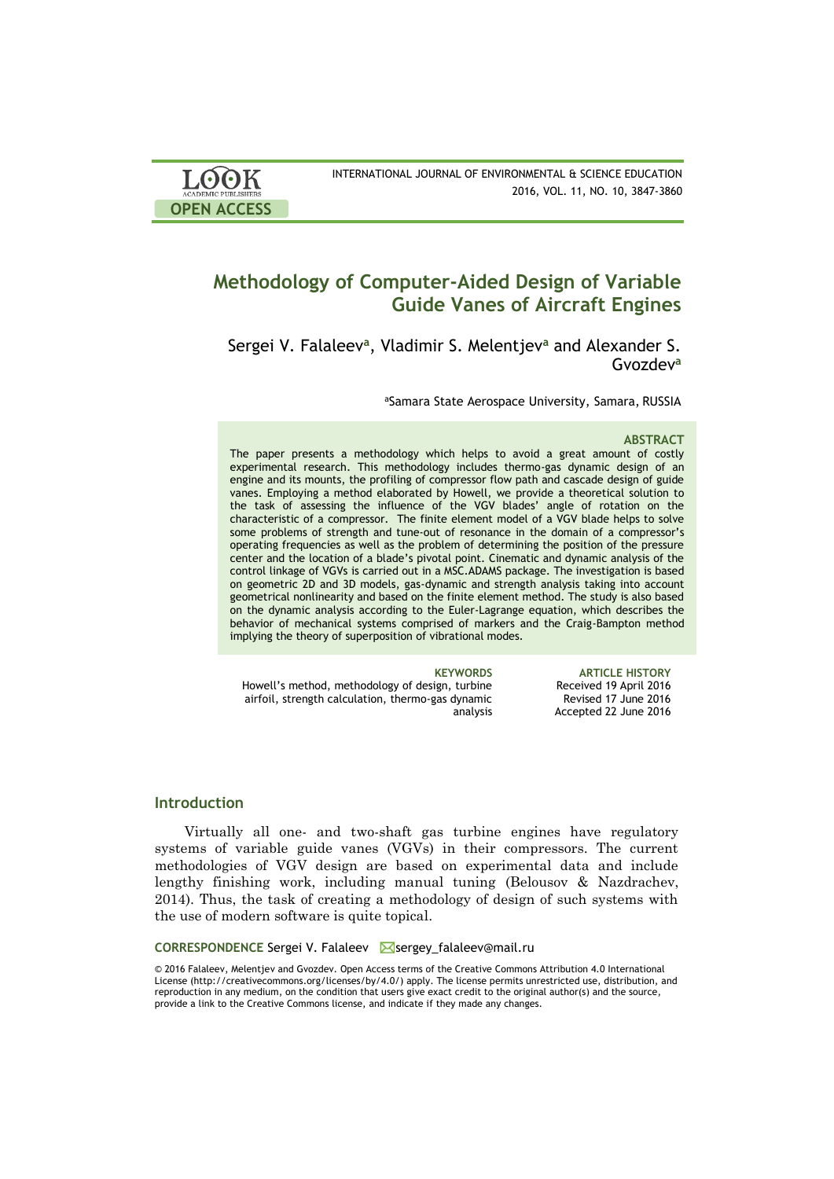| <b>LOOK</b>                | INTERNATIONAL JOURNAL OF ENVIRONMENTAL & SCIENCE EDUCATION |
|----------------------------|------------------------------------------------------------|
| <b>ACADEMIC PUBLISHERS</b> | 2016, VOL. 11, NO. 10, 3847-3860                           |
| <b>OPEN ACCESS</b>         |                                                            |

# **Methodology of Computer-Aided Design of Variable Guide Vanes of Aircraft Engines**

Sergei V. Falaleev**<sup>a</sup>** , Vladimir S. Melentjev**<sup>a</sup>** and Alexander S. Gvozdev**<sup>a</sup>**

aSamara State Aerospace University, Samara, RUSSIA

#### **ABSTRACT**

The paper presents a methodology which helps to avoid a great amount of costly experimental research. This methodology includes thermo-gas dynamic design of an engine and its mounts, the profiling of compressor flow path and cascade design of guide vanes. Employing a method elaborated by Howell, we provide a theoretical solution to the task of assessing the influence of the VGV blades' angle of rotation on the characteristic of a compressor. The finite element model of a VGV blade helps to solve some problems of strength and tune-out of resonance in the domain of a compressor's operating frequencies as well as the problem of determining the position of the pressure center and the location of a blade's pivotal point. Cinematic and dynamic analysis of the control linkage of VGVs is carried out in a MSC.ADAMS package. The investigation is based on geometric 2D and 3D models, gas-dynamic and strength analysis taking into account geometrical nonlinearity and based on the finite element method. The study is also based on the dynamic analysis according to the Euler-Lagrange equation, which describes the behavior of mechanical systems comprised of markers and the Craig-Bampton method implying the theory of superposition of vibrational modes.

Howell's method, methodology of design, turbine airfoil, strength calculation, thermo-gas dynamic analysis

**KEYWORDS ARTICLE HISTORY** Received 19 April 2016 Revised 17 June 2016 Accepted 22 June 2016

# **Introduction**

Virtually all one- and two-shaft gas turbine engines have regulatory systems of variable guide vanes (VGVs) in their compressors. The current methodologies of VGV design are based on experimental data and include lengthy finishing work, including manual tuning (Belousov & Nazdrachev, 2014). Thus, the task of creating a methodology of design of such systems with the use of modern software is quite topical.

#### CORRESPONDENCE Sergei V. Falaleev **Sergey\_falaleev@mail.ru**

© 2016 Falaleev, Melentjev and Gvozdev. Open Access terms of the Creative Commons Attribution 4.0 International License (http://creativecommons.org/licenses/by/4.0/) apply. The license permits unrestricted use, distribution, and reproduction in any medium, on the condition that users give exact credit to the original author(s) and the source, provide a link to the Creative Commons license, and indicate if they made any changes.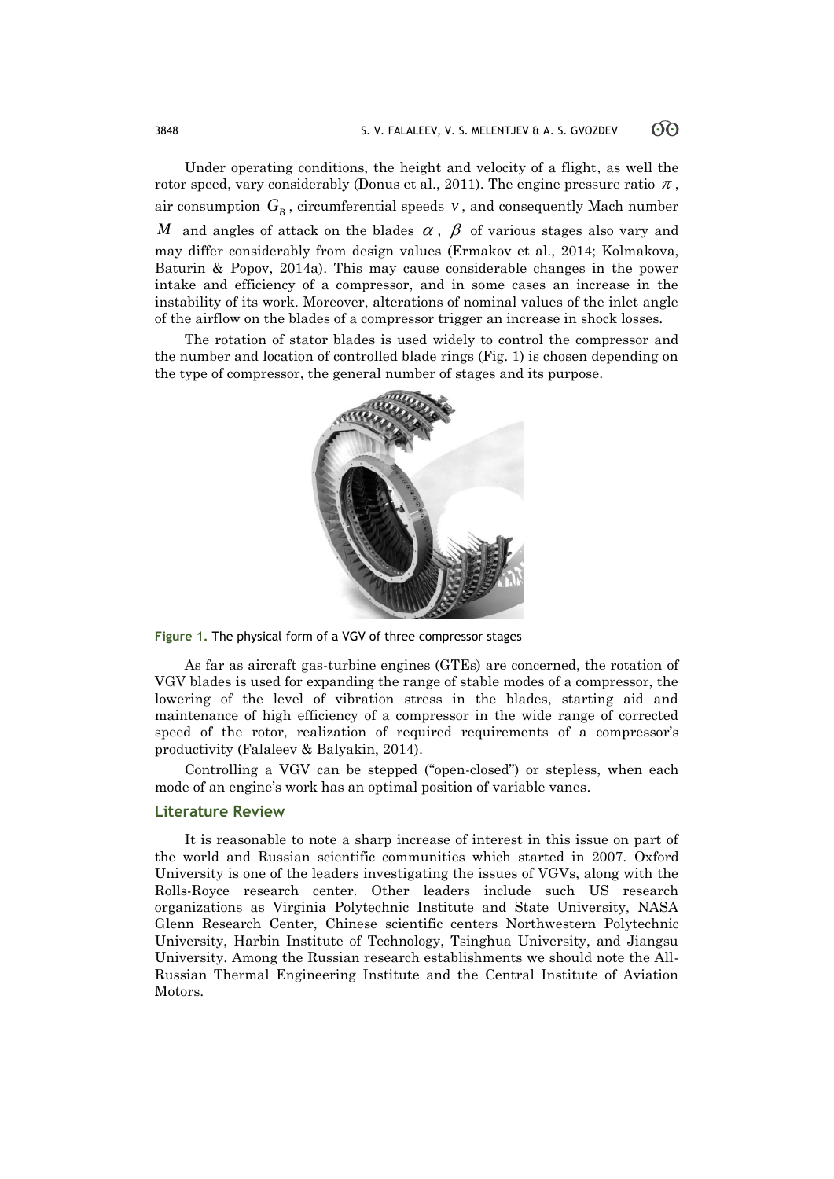Under operating conditions, the height and velocity of a flight, as well the rotor speed, vary considerably (Donus et al., 2011). The engine pressure ratio  $\pi$ , air consumption  $G_{B}$  , circumferential speeds  $v$  , and consequently Mach number *M* and angles of attack on the blades  $\alpha$ ,  $\beta$  of various stages also vary and may differ considerably from design values (Ermakov et al., 2014; Kolmakova, Baturin & Popov, 2014a). This may cause considerable changes in the power intake and efficiency of a compressor, and in some cases an increase in the instability of its work. Moreover, alterations of nominal values of the inlet angle of the airflow on the blades of a compressor trigger an increase in shock losses.

The rotation of stator blades is used widely to control the compressor and the number and location of controlled blade rings (Fig. 1) is chosen depending on the type of compressor, the general number of stages and its purpose.



**Figure 1.** The physical form of a VGV of three compressor stages

As far as aircraft gas-turbine engines (GTEs) are concerned, the rotation of VGV blades is used for expanding the range of stable modes of a compressor, the lowering of the level of vibration stress in the blades, starting aid and maintenance of high efficiency of a compressor in the wide range of corrected speed of the rotor, realization of required requirements of a compressor's productivity (Falaleev & Balyakin, 2014).

Controlling a VGV can be stepped ("open-closed") or stepless, when each mode of an engine's work has an optimal position of variable vanes.

# **Literature Review**

It is reasonable to note a sharp increase of interest in this issue on part of the world and Russian scientific communities which started in 2007. Oxford University is one of the leaders investigating the issues of VGVs, along with the Rolls-Royce research center. Other leaders include such US research organizations as Virginia Polytechnic Institute and State University, NASA Glenn Research Center, Chinese scientific centers Northwestern Polytechnic University, Harbin Institute of Technology, Tsinghua University, and Jiangsu University. Among the Russian research establishments we should note the All-Russian Thermal Engineering Institute and the Central Institute of Aviation Motors.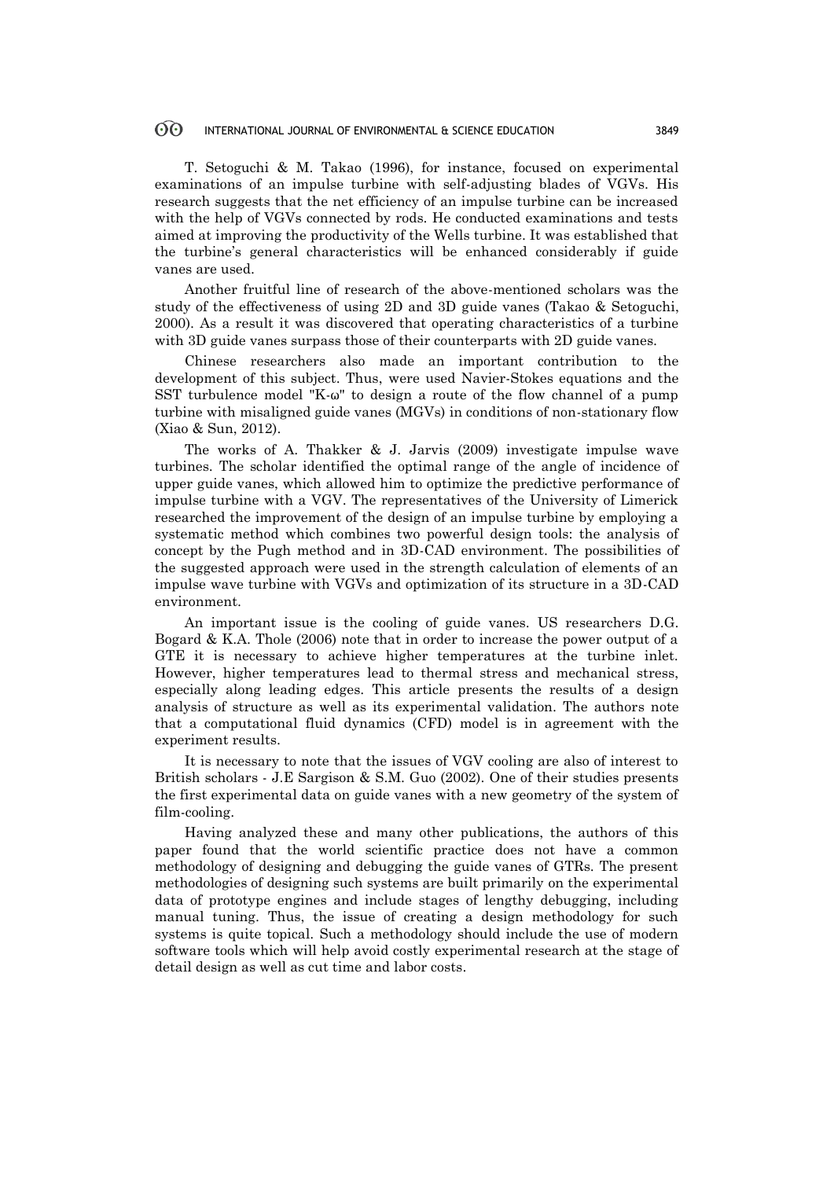T. Setoguchi & M. Takao (1996), for instance, focused on experimental examinations of an impulse turbine with self-adjusting blades of VGVs. His research suggests that the net efficiency of an impulse turbine can be increased with the help of VGVs connected by rods. He conducted examinations and tests aimed at improving the productivity of the Wells turbine. It was established that the turbine's general characteristics will be enhanced considerably if guide vanes are used.

Another fruitful line of research of the above-mentioned scholars was the study of the effectiveness of using 2D and 3D guide vanes (Takao & Setoguchi, 2000). As a result it was discovered that operating characteristics of a turbine with 3D guide vanes surpass those of their counterparts with 2D guide vanes.

Chinese researchers also made an important contribution to the development of this subject. Thus, were used Navier-Stokes equations and the SST turbulence model "K-ω" to design a route of the flow channel of a pump turbine with misaligned guide vanes (MGVs) in conditions of non-stationary flow (Xiao & Sun, 2012).

The works of A. Thakker & J. Jarvis (2009) investigate impulse wave turbines. The scholar identified the optimal range of the angle of incidence of upper guide vanes, which allowed him to optimize the predictive performance of impulse turbine with a VGV. The representatives of the University of Limerick researched the improvement of the design of an impulse turbine by employing a systematic method which combines two powerful design tools: the analysis of concept by the Pugh method and in 3D-CAD environment. The possibilities of the suggested approach were used in the strength calculation of elements of an impulse wave turbine with VGVs and optimization of its structure in a 3D-CAD environment.

An important issue is the cooling of guide vanes. US researchers D.G. Bogard & K.A. Thole (2006) note that in order to increase the power output of a GTE it is necessary to achieve higher temperatures at the turbine inlet. However, higher temperatures lead to thermal stress and mechanical stress, especially along leading edges. This article presents the results of a design analysis of structure as well as its experimental validation. The authors note that a computational fluid dynamics (CFD) model is in agreement with the experiment results.

It is necessary to note that the issues of VGV cooling are also of interest to British scholars - J.E Sargison & S.M. Guo (2002). One of their studies presents the first experimental data on guide vanes with a new geometry of the system of film-cooling.

Having analyzed these and many other publications, the authors of this paper found that the world scientific practice does not have a common methodology of designing and debugging the guide vanes of GTRs. The present methodologies of designing such systems are built primarily on the experimental data of prototype engines and include stages of lengthy debugging, including manual tuning. Thus, the issue of creating a design methodology for such systems is quite topical. Such a methodology should include the use of modern software tools which will help avoid costly experimental research at the stage of detail design as well as cut time and labor costs.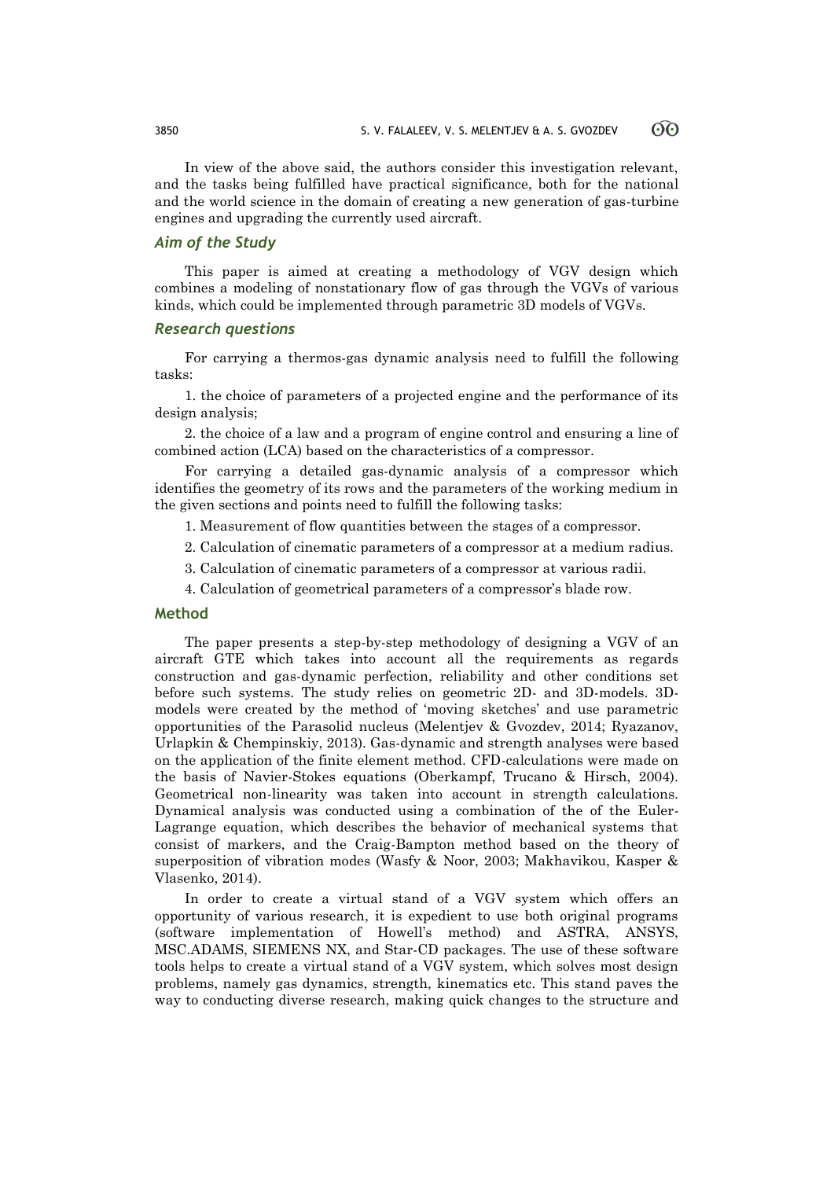60

In view of the above said, the authors consider this investigation relevant, and the tasks being fulfilled have practical significance, both for the national and the world science in the domain of creating a new generation of gas-turbine engines and upgrading the currently used aircraft.

# *Aim of the Study*

This paper is aimed at creating a methodology of VGV design which combines a modeling of nonstationary flow of gas through the VGVs of various kinds, which could be implemented through parametric 3D models of VGVs.

### *Research questions*

For carrying a thermos-gas dynamic analysis need to fulfill the following tasks:

1. the choice of parameters of a projected engine and the performance of its design analysis;

2. the choice of a law and a program of engine control and ensuring a line of combined action (LCA) based on the characteristics of a compressor.

For carrying a detailed gas-dynamic analysis of a compressor which identifies the geometry of its rows and the parameters of the working medium in the given sections and points need to fulfill the following tasks:

- 1. Measurement of flow quantities between the stages of a compressor.
- 2. Calculation of cinematic parameters of a compressor at a medium radius.
- 3. Calculation of cinematic parameters of a compressor at various radii.
- 4. Calculation of geometrical parameters of a compressor's blade row.

# **Method**

The paper presents a step-by-step methodology of designing a VGV of an aircraft GTE which takes into account all the requirements as regards construction and gas-dynamic perfection, reliability and other conditions set before such systems. The study relies on geometric 2D- and 3D-models. 3Dmodels were created by the method of 'moving sketches' and use parametric opportunities of the Parasolid nucleus (Melentjev & Gvozdev, 2014; Ryazanov, Urlapkin & Chempinskiy, 2013). Gas-dynamic and strength analyses were based on the application of the finite element method. CFD-calculations were made on the basis of Navier-Stokes equations (Oberkampf, Trucano & Hirsch, 2004). Geometrical non-linearity was taken into account in strength calculations. Dynamical analysis was conducted using a combination of the of the Euler-Lagrange equation, which describes the behavior of mechanical systems that consist of markers, and the Craig-Bampton method based on the theory of superposition of vibration modes (Wasfy & Noor, 2003; Makhavikou, Kasper & Vlasenko, 2014).

In order to create a virtual stand of a VGV system which offers an opportunity of various research, it is expedient to use both original programs (software implementation of Howell's method) and ASTRA, ANSYS, MSC.ADAMS, SIEMENS NX, and Star-CD packages. The use of these software tools helps to create a virtual stand of a VGV system, which solves most design problems, namely gas dynamics, strength, kinematics etc. This stand paves the way to conducting diverse research, making quick changes to the structure and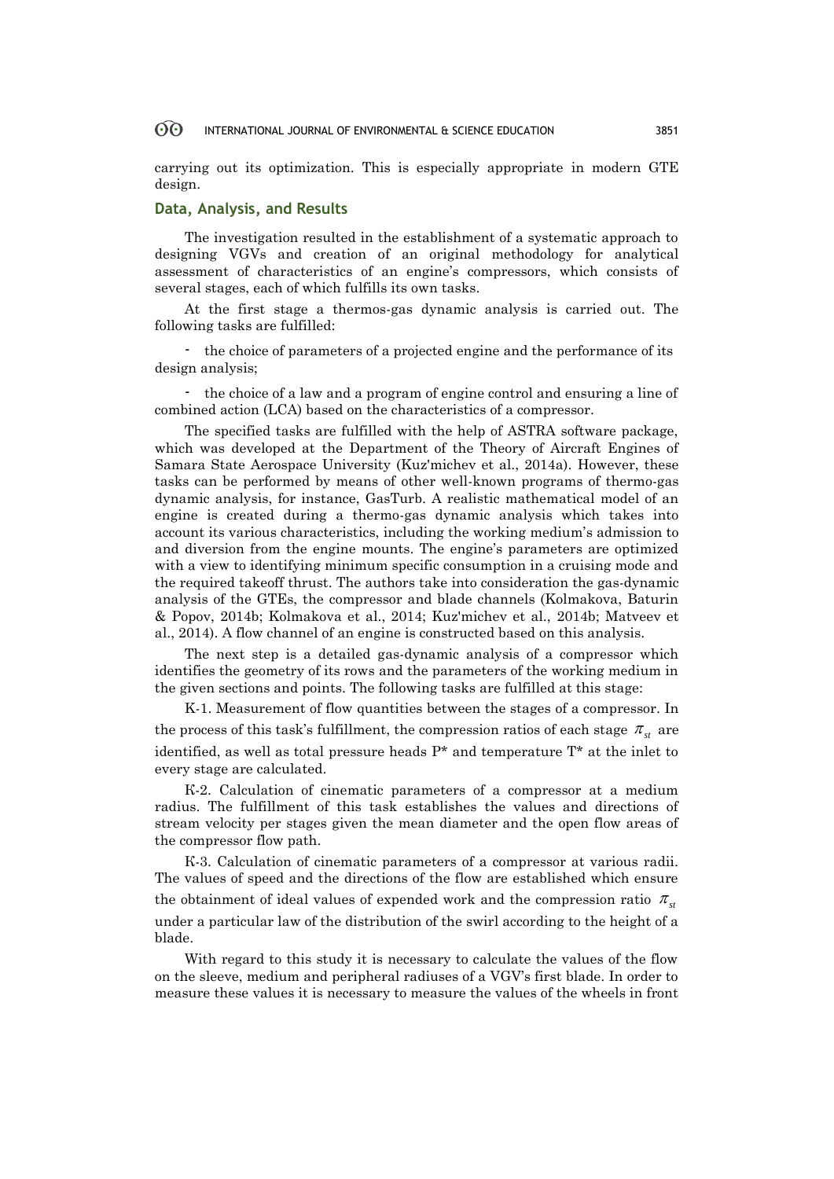carrying out its optimization. This is especially appropriate in modern GTE design.

# **Data, Analysis, and Results**

The investigation resulted in the establishment of a systematic approach to designing VGVs and creation of an original methodology for analytical assessment of characteristics of an engine's compressors, which consists of several stages, each of which fulfills its own tasks.

At the first stage a thermos-gas dynamic analysis is carried out. The following tasks are fulfilled:

- the choice of parameters of a projected engine and the performance of its design analysis;

- the choice of a law and a program of engine control and ensuring a line of combined action (LCA) based on the characteristics of a compressor.

The specified tasks are fulfilled with the help of ASTRA software package, which was developed at the Department of the Theory of Aircraft Engines of Samara State Aerospace University (Kuz'michev et al., 2014a). However, these tasks can be performed by means of other well-known programs of thermo-gas dynamic analysis, for instance, GasTurb. A realistic mathematical model of an engine is created during a thermo-gas dynamic analysis which takes into account its various characteristics, including the working medium's admission to and diversion from the engine mounts. The engine's parameters are optimized with a view to identifying minimum specific consumption in a cruising mode and the required takeoff thrust. The authors take into consideration the gas-dynamic analysis of the GTEs, the compressor and blade channels (Kolmakova, Baturin & Popov, 2014b; Kolmakova et al., 2014; Kuz'michev et al., 2014b; Matveev et al., 2014). A flow channel of an engine is constructed based on this analysis.

The next step is a detailed gas-dynamic analysis of a compressor which identifies the geometry of its rows and the parameters of the working medium in the given sections and points. The following tasks are fulfilled at this stage:

K-1. Measurement of flow quantities between the stages of a compressor. In the process of this task's fulfillment, the compression ratios of each stage  $\pi_{st}$  are identified, as well as total pressure heads  $P^*$  and temperature  $T^*$  at the inlet to every stage are calculated.

К-2. Calculation of cinematic parameters of a compressor at a medium radius. The fulfillment of this task establishes the values and directions of stream velocity per stages given the mean diameter and the open flow areas of the compressor flow path.

К-3. Calculation of cinematic parameters of a compressor at various radii. The values of speed and the directions of the flow are established which ensure the obtainment of ideal values of expended work and the compression ratio  $\pi_{\scriptscriptstyle{sr}}$ under a particular law of the distribution of the swirl according to the height of a blade.

With regard to this study it is necessary to calculate the values of the flow on the sleeve, medium and peripheral radiuses of a VGV's first blade. In order to measure these values it is necessary to measure the values of the wheels in front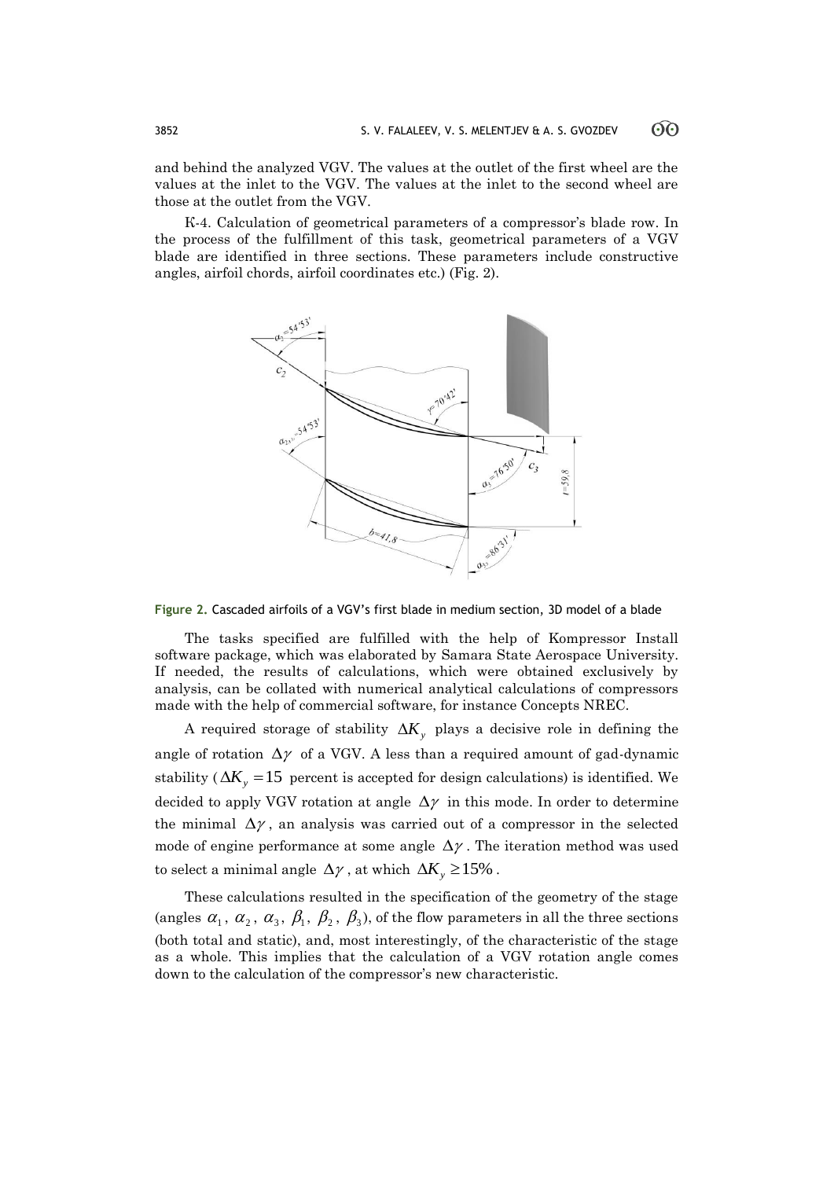ගිල

and behind the analyzed VGV. The values at the outlet of the first wheel are the values at the inlet to the VGV. The values at the inlet to the second wheel are those at the outlet from the VGV.

К-4. Calculation of geometrical parameters of a compressor's blade row. In the process of the fulfillment of this task, geometrical parameters of a VGV blade are identified in three sections. These parameters include constructive angles, airfoil chords, airfoil coordinates etc.) (Fig. 2).



### **Figure 2.** Cascaded airfoils of a VGV's first blade in medium section, 3D model of a blade

The tasks specified are fulfilled with the help of Kompressor Install software package, which was elaborated by Samara State Aerospace University. If needed, the results of calculations, which were obtained exclusively by analysis, can be collated with numerical analytical calculations of compressors made with the help of commercial software, for instance Concepts NREC.

A required storage of stability  $\Delta K_y$  plays a decisive role in defining the angle of rotation  $\Delta \gamma$  of a VGV. A less than a required amount of gad-dynamic stability ( $\Delta K_y = 15$  percent is accepted for design calculations) is identified. We decided to apply VGV rotation at angle  $\Delta \gamma$  in this mode. In order to determine the minimal  $\Delta \gamma$ , an analysis was carried out of a compressor in the selected mode of engine performance at some angle  $\Delta \gamma$ . The iteration method was used to select a minimal angle  $\Delta \gamma$ , at which  $\Delta K_y \ge 15\%$ .

These calculations resulted in the specification of the geometry of the stage (angles  $\alpha_1$ ,  $\alpha_2$ ,  $\alpha_3$ ,  $\beta_1$ ,  $\beta_2$ ,  $\beta_3$ ), of the flow parameters in all the three sections (both total and static), and, most interestingly, of the characteristic of the stage as a whole. This implies that the calculation of a VGV rotation angle comes down to the calculation of the compressor's new characteristic.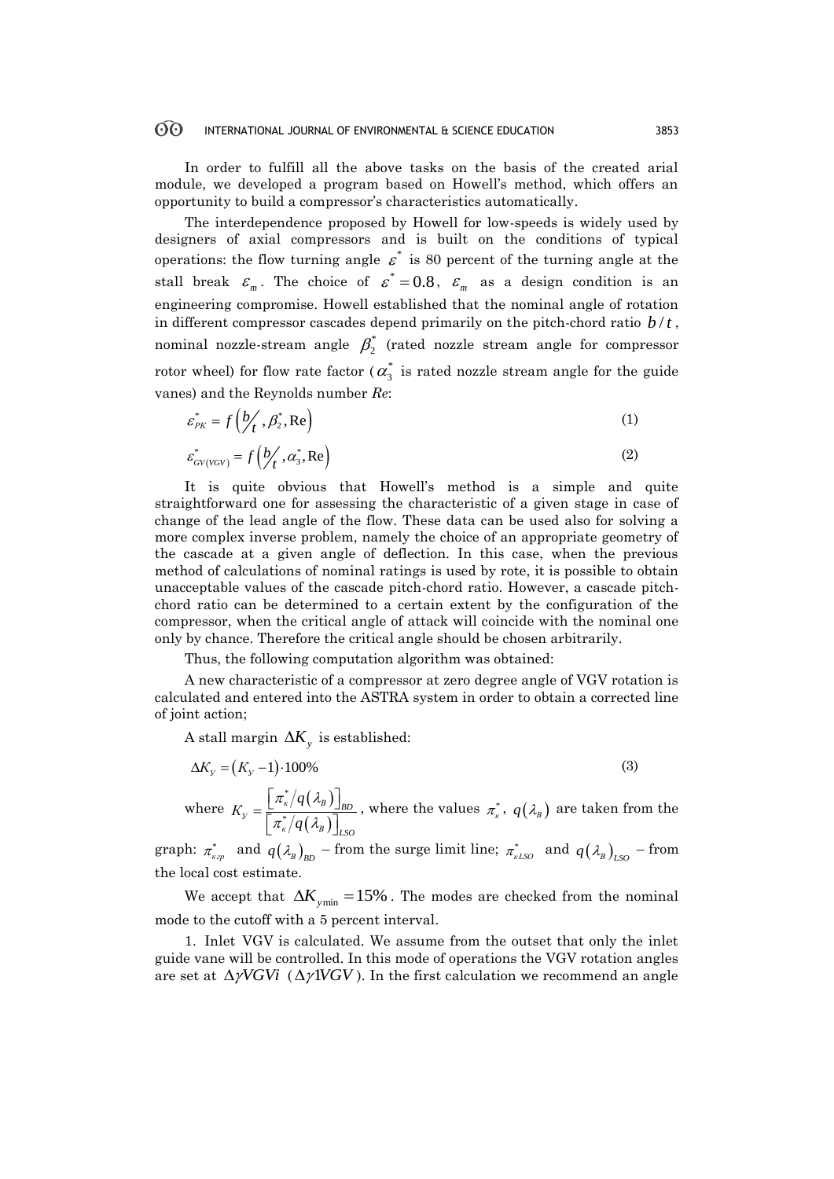In order to fulfill all the above tasks on the basis of the created arial module, we developed a program based on Howell's method, which offers an opportunity to build a compressor's characteristics automatically.

The interdependence proposed by Howell for low-speeds is widely used by designers of axial compressors and is built on the conditions of typical operations: the flow turning angle  $\varepsilon^*$  is 80 percent of the turning angle at the stall break  $\varepsilon_m$ . The choice of  $\varepsilon^* = 0.8$ ,  $\varepsilon_m$  as a design condition is an engineering compromise. Howell established that the nominal angle of rotation in different compressor cascades depend primarily on the pitch-chord ratio  $b/t$ , nominal nozzle-stream angle  $\beta_2^*$  (rated nozzle stream angle for compressor rotor wheel) for flow rate factor (  $\alpha_3^*$  is rated nozzle stream angle for the guide vanes) and the Reynolds number *Re*:

$$
\varepsilon_{p_K}^* = f\left(\frac{b}{t}, \beta_2^*, \text{Re}\right) \tag{1}
$$

$$
\varepsilon_{GV(VGV)}^* = f\left(\frac{b}{t}, a_s^*, \text{Re}\right) \tag{2}
$$

It is quite obvious that Howell's method is a simple and quite straightforward one for assessing the characteristic of a given stage in case of change of the lead angle of the flow. These data can be used also for solving a more complex inverse problem, namely the choice of an appropriate geometry of the cascade at a given angle of deflection. In this case, when the previous method of calculations of nominal ratings is used by rote, it is possible to obtain unacceptable values of the cascade pitch-chord ratio. However, a cascade pitchchord ratio can be determined to a certain extent by the configuration of the compressor, when the critical angle of attack will coincide with the nominal one only by chance. Therefore the critical angle should be chosen arbitrarily.

Thus, the following computation algorithm was obtained:

A new characteristic of a compressor at zero degree angle of VGV rotation is calculated and entered into the ASTRA system in order to obtain a corrected line of joint action;

A stall margin  $\Delta K_y$  is established:

$$
\Delta K_{y} = (K_{y} - 1) \cdot 100\%
$$
\n(3)  
\nwhere  $K_{y} = \frac{\left[\pi_{\kappa}^{*}/q(\lambda_{B})\right]_{BD}}{\left[\pi_{\kappa}^{*}/q(\lambda_{B})\right]_{LSO}}$ , where the values  $\pi_{\kappa}^{*}$ ,  $q(\lambda_{B})$  are taken from

graph:  $\pi^*_{\kappa,p}$  and  $q(\lambda_B)_{BD}$  – from the surge limit line;  $\pi^*_{\kappa L SO}$  and  $q(\lambda_B)_{LSO}$  – from the local cost estimate.

We accept that  $\Delta K_{ymin} = 15\%$  . The modes are checked from the nominal mode to the cutoff with a 5 percent interval.

1. Inlet VGV is calculated. We assume from the outset that only the inlet guide vane will be controlled. In this mode of operations the VGV rotation angles are set at  $\Delta \gamma V G V i$  ( $\Delta \gamma V G V$ ). In the first calculation we recommend an angle

the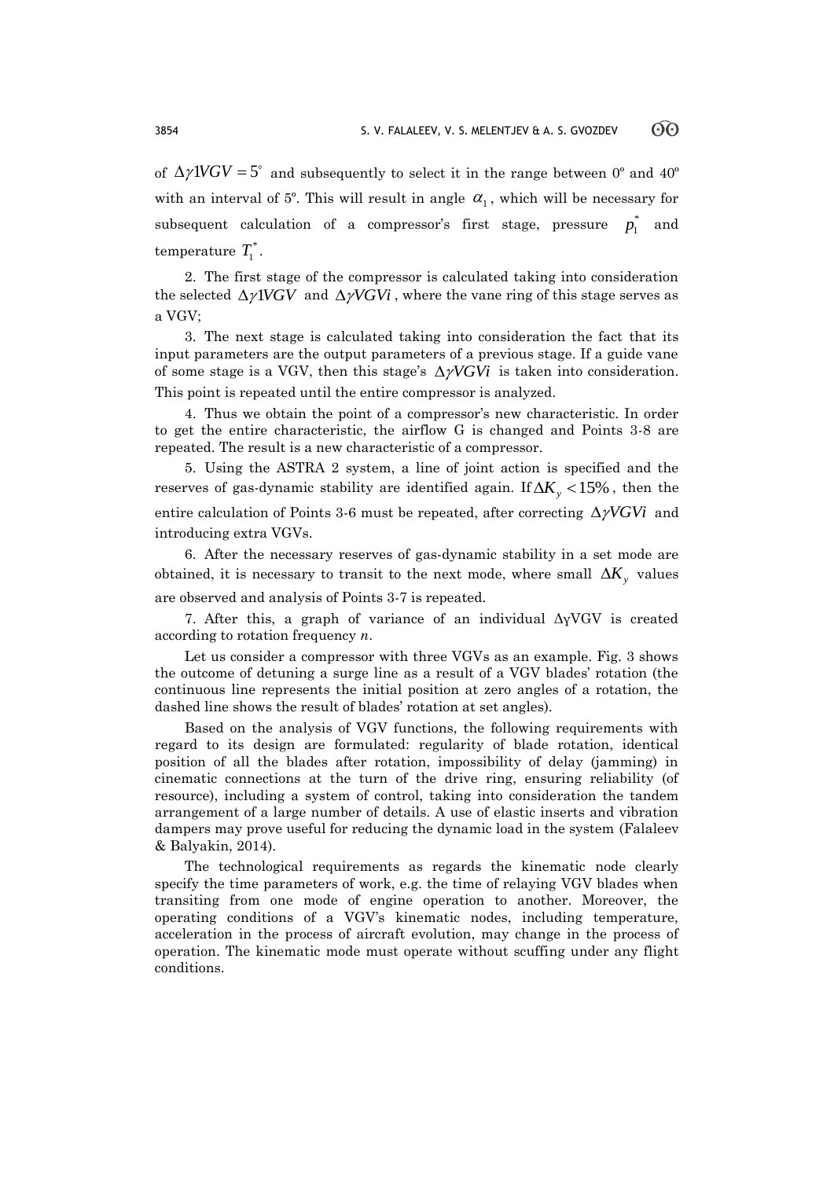of  $\Delta \gamma$ IVGV = 5° and subsequently to select it in the range between 0° and 40° with an interval of  $5^{\circ}$ . This will result in angle  $\alpha_1$ , which will be necessary for  $\mathbf{s}$  ubsequent calculation of a compressor's first stage, pressure  $p_1^*$ and temperature  $T_1^*$ .

2. The first stage of the compressor is calculated taking into consideration the selected  $\Delta \gamma VGV$  and  $\Delta \gamma VGV$ , where the vane ring of this stage serves as a VGV;

3. The next stage is calculated taking into consideration the fact that its input parameters are the output parameters of a previous stage. If a guide vane of some stage is a VGV, then this stage's  $\Delta \gamma VGVi$  is taken into consideration. This point is repeated until the entire compressor is analyzed.

4. Thus we obtain the point of a compressor's new characteristic. In order to get the entire characteristic, the airflow G is changed and Points 3-8 are repeated. The result is a new characteristic of a compressor.

5. Using the ASTRA 2 system, a line of joint action is specified and the reserves of gas-dynamic stability are identified again. If  $\Delta K_y < 15\%$  , then the entire calculation of Points 3-6 must be repeated, after correcting  $\Delta \gamma VGVi$  and introducing extra VGVs.

6. After the necessary reserves of gas-dynamic stability in a set mode are obtained, it is necessary to transit to the next mode, where small  $\Delta K_y$  values are observed and analysis of Points 3-7 is repeated.

7. After this, a graph of variance of an individual ΔγVGV is created according to rotation frequency *n*.

Let us consider a compressor with three VGVs as an example. Fig. 3 shows the outcome of detuning a surge line as a result of a VGV blades' rotation (the continuous line represents the initial position at zero angles of a rotation, the dashed line shows the result of blades' rotation at set angles).

Based on the analysis of VGV functions, the following requirements with regard to its design are formulated: regularity of blade rotation, identical position of all the blades after rotation, impossibility of delay (jamming) in cinematic connections at the turn of the drive ring, ensuring reliability (of resource), including a system of control, taking into consideration the tandem arrangement of a large number of details. A use of elastic inserts and vibration dampers may prove useful for reducing the dynamic load in the system (Falaleev & Balyakin, 2014).

The technological requirements as regards the kinematic node clearly specify the time parameters of work, e.g. the time of relaying VGV blades when transiting from one mode of engine operation to another. Moreover, the operating conditions of a VGV's kinematic nodes, including temperature, acceleration in the process of aircraft evolution, may change in the process of operation. The kinematic mode must operate without scuffing under any flight conditions.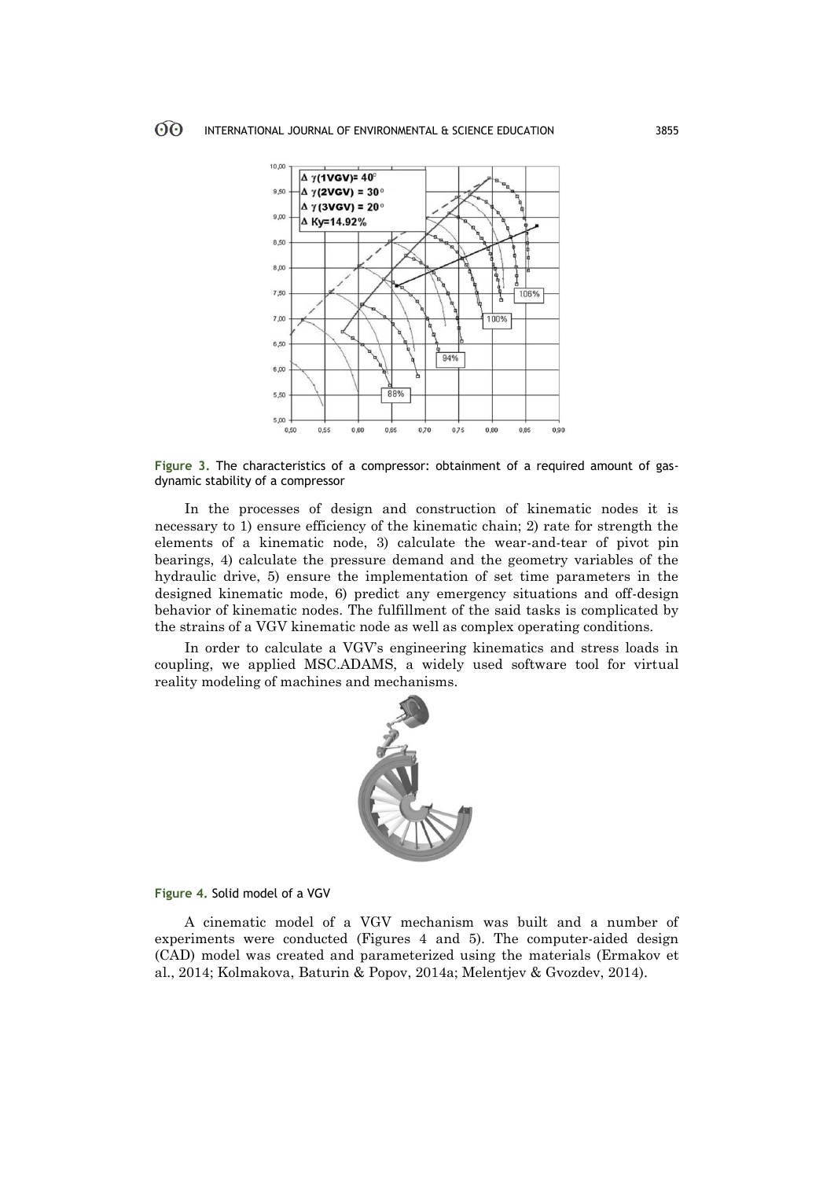

**Figure 3.** The characteristics of a compressor: obtainment of a required amount of gasdynamic stability of a compressor

In the processes of design and construction of kinematic nodes it is necessary to 1) ensure efficiency of the kinematic chain; 2) rate for strength the elements of a kinematic node, 3) calculate the wear-and-tear of pivot pin bearings, 4) calculate the pressure demand and the geometry variables of the hydraulic drive, 5) ensure the implementation of set time parameters in the designed kinematic mode, 6) predict any emergency situations and off-design behavior of kinematic nodes. The fulfillment of the said tasks is complicated by the strains of a VGV kinematic node as well as complex operating conditions.

In order to calculate a VGV's engineering kinematics and stress loads in coupling, we applied MSC.ADAMS, a widely used software tool for virtual reality modeling of machines and mechanisms.



**Figure 4.** Solid model of a VGV

A cinematic model of a VGV mechanism was built and a number of experiments were conducted (Figures 4 and 5). The computer-aided design (CAD) model was created and parameterized using the materials (Ermakov et al., 2014; Kolmakova, Baturin & Popov, 2014a; Melentjev & Gvozdev, 2014).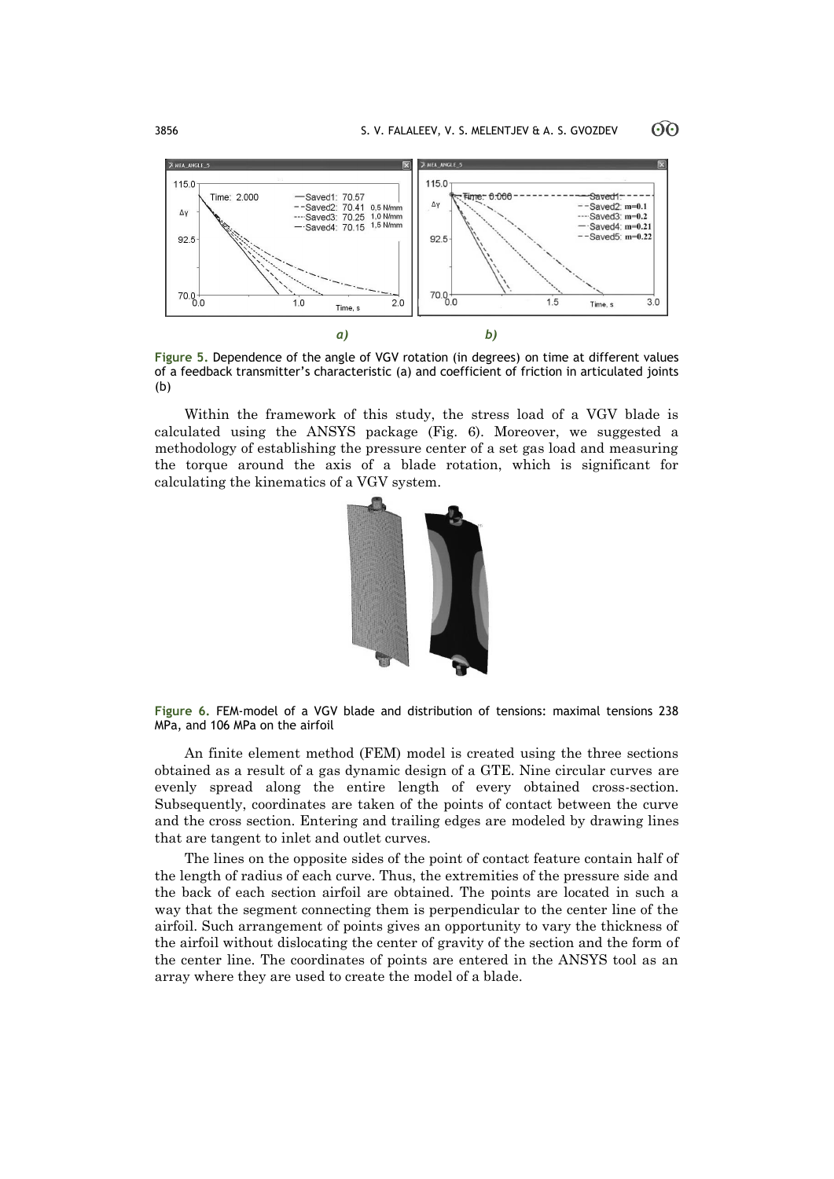ගිල



**Figure 5.** Dependence of the angle of VGV rotation (in degrees) on time at different values of a feedback transmitter's characteristic (a) and coefficient of friction in articulated joints (b)

Within the framework of this study, the stress load of a VGV blade is calculated using the ANSYS package (Fig. 6). Moreover, we suggested a methodology of establishing the pressure center of a set gas load and measuring the torque around the axis of a blade rotation, which is significant for calculating the kinematics of a VGV system.



**Figure 6.** FEM-model of a VGV blade and distribution of tensions: maximal tensions 238 MPa, and 106 MPa on the airfoil

An finite element method (FEM) model is created using the three sections obtained as a result of a gas dynamic design of a GTE. Nine circular curves are evenly spread along the entire length of every obtained cross-section. Subsequently, coordinates are taken of the points of contact between the curve and the cross section. Entering and trailing edges are modeled by drawing lines that are tangent to inlet and outlet curves.

The lines on the opposite sides of the point of contact feature contain half of the length of radius of each curve. Thus, the extremities of the pressure side and the back of each section airfoil are obtained. The points are located in such a way that the segment connecting them is perpendicular to the center line of the airfoil. Such arrangement of points gives an opportunity to vary the thickness of the airfoil without dislocating the center of gravity of the section and the form of the center line. The coordinates of points are entered in the ANSYS tool as an array where they are used to create the model of a blade.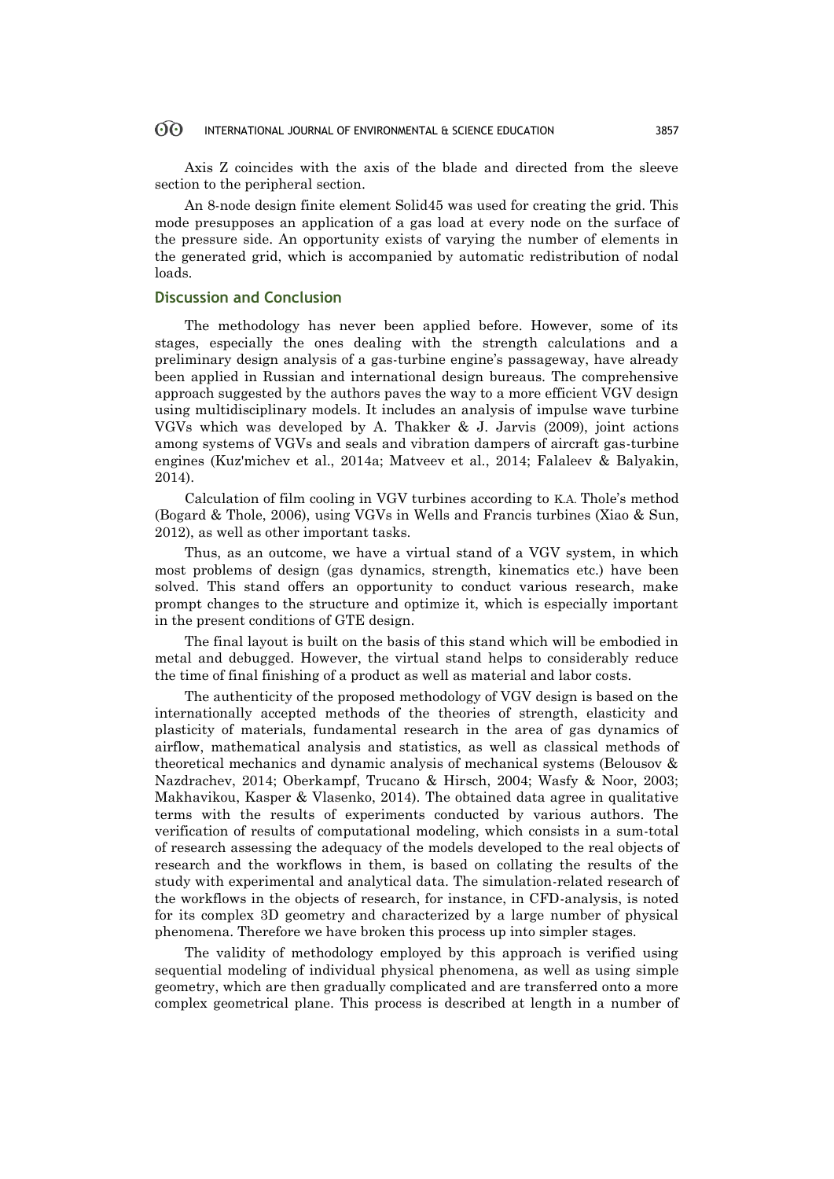Axis Z coincides with the axis of the blade and directed from the sleeve section to the peripheral section.

An 8-node design finite element Solid45 was used for creating the grid. This mode presupposes an application of a gas load at every node on the surface of the pressure side. An opportunity exists of varying the number of elements in the generated grid, which is accompanied by automatic redistribution of nodal loads.

# **Discussion and Conclusion**

The methodology has never been applied before. However, some of its stages, especially the ones dealing with the strength calculations and a preliminary design analysis of a gas-turbine engine's passageway, have already been applied in Russian and international design bureaus. The comprehensive approach suggested by the authors paves the way to a more efficient VGV design using multidisciplinary models. It includes an analysis of impulse wave turbine VGVs which was developed by A. Thakker & J. Jarvis (2009), joint actions among systems of VGVs and seals and vibration dampers of aircraft gas-turbine engines (Kuz'michev et al., 2014a; Matveev et al., 2014; Falaleev & Balyakin, 2014).

Calculation of film cooling in VGV turbines according to K.A. Thole's method (Bogard & Thole, 2006), using VGVs in Wells and Francis turbines (Xiao & Sun, 2012), as well as other important tasks.

Thus, as an outcome, we have a virtual stand of a VGV system, in which most problems of design (gas dynamics, strength, kinematics etc.) have been solved. This stand offers an opportunity to conduct various research, make prompt changes to the structure and optimize it, which is especially important in the present conditions of GTE design.

The final layout is built on the basis of this stand which will be embodied in metal and debugged. However, the virtual stand helps to considerably reduce the time of final finishing of a product as well as material and labor costs.

The authenticity of the proposed methodology of VGV design is based on the internationally accepted methods of the theories of strength, elasticity and plasticity of materials, fundamental research in the area of gas dynamics of airflow, mathematical analysis and statistics, as well as classical methods of theoretical mechanics and dynamic analysis of mechanical systems (Belousov & Nazdrachev, 2014; Oberkampf, Trucano & Hirsch, 2004; Wasfy & Noor, 2003; Makhavikou, Kasper & Vlasenko, 2014). The obtained data agree in qualitative terms with the results of experiments conducted by various authors. The verification of results of computational modeling, which consists in a sum-total of research assessing the adequacy of the models developed to the real objects of research and the workflows in them, is based on collating the results of the study with experimental and analytical data. The simulation-related research of the workflows in the objects of research, for instance, in CFD-analysis, is noted for its complex 3D geometry and characterized by a large number of physical phenomena. Therefore we have broken this process up into simpler stages.

The validity of methodology employed by this approach is verified using sequential modeling of individual physical phenomena, as well as using simple geometry, which are then gradually complicated and are transferred onto a more complex geometrical plane. This process is described at length in a number of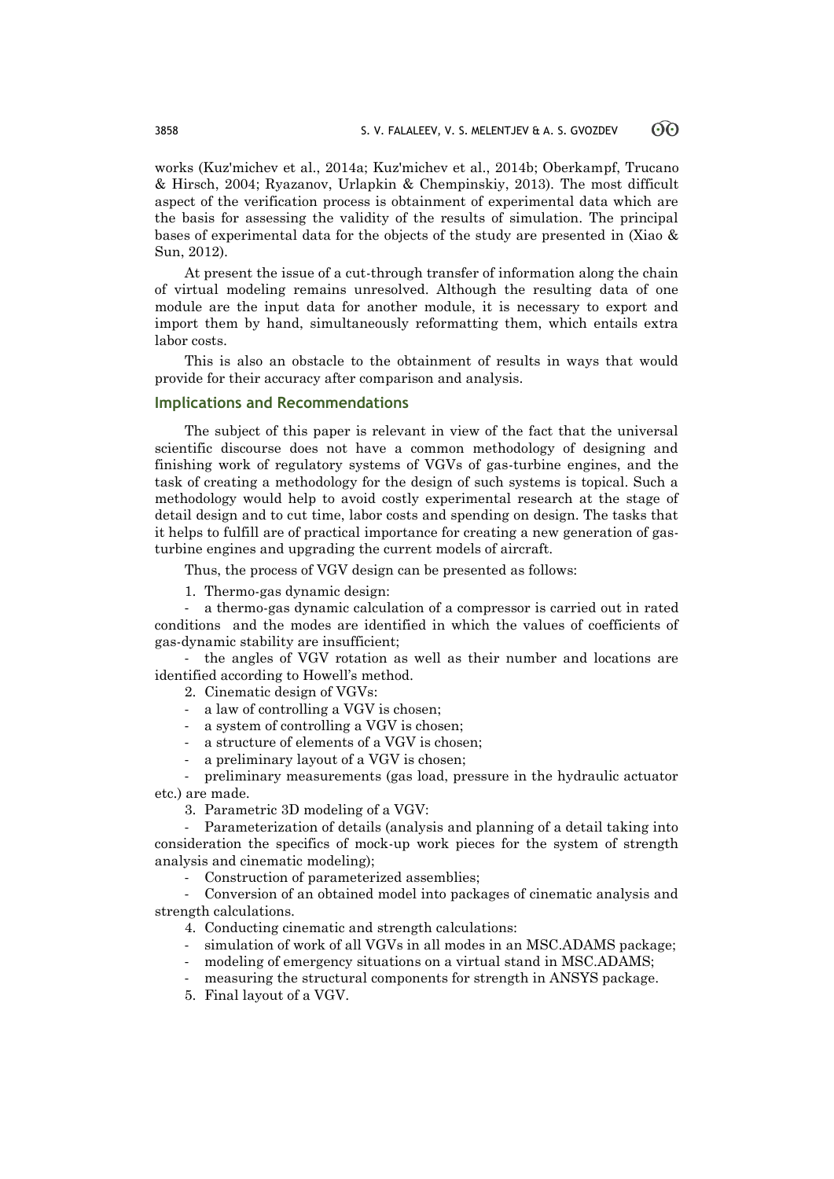works (Kuz'michev et al., 2014a; Kuz'michev et al., 2014b; Oberkampf, Trucano & Hirsch, 2004; Ryazanov, Urlapkin & Chempinskiy, 2013). The most difficult aspect of the verification process is obtainment of experimental data which are the basis for assessing the validity of the results of simulation. The principal bases of experimental data for the objects of the study are presented in (Xiao & Sun, 2012).

At present the issue of a cut-through transfer of information along the chain of virtual modeling remains unresolved. Although the resulting data of one module are the input data for another module, it is necessary to export and import them by hand, simultaneously reformatting them, which entails extra labor costs.

This is also an obstacle to the obtainment of results in ways that would provide for their accuracy after comparison and analysis.

### **Implications and Recommendations**

The subject of this paper is relevant in view of the fact that the universal scientific discourse does not have a common methodology of designing and finishing work of regulatory systems of VGVs of gas-turbine engines, and the task of creating a methodology for the design of such systems is topical. Such a methodology would help to avoid costly experimental research at the stage of detail design and to cut time, labor costs and spending on design. The tasks that it helps to fulfill are of practical importance for creating a new generation of gasturbine engines and upgrading the current models of aircraft.

Thus, the process of VGV design can be presented as follows:

1. Thermo-gas dynamic design:

- a thermo-gas dynamic calculation of a compressor is carried out in rated conditions and the modes are identified in which the values of coefficients of gas-dynamic stability are insufficient;

- the angles of VGV rotation as well as their number and locations are identified according to Howell's method.

2. Cinematic design of VGVs:

- a law of controlling a VGV is chosen;
- a system of controlling a VGV is chosen;
- a structure of elements of a VGV is chosen;
- a preliminary layout of a VGV is chosen;

- preliminary measurements (gas load, pressure in the hydraulic actuator etc.) are made.

3. Parametric 3D modeling of a VGV:

- Parameterization of details (analysis and planning of a detail taking into consideration the specifics of mock-up work pieces for the system of strength analysis and cinematic modeling);

Construction of parameterized assemblies;

- Conversion of an obtained model into packages of cinematic analysis and strength calculations.

4. Conducting cinematic and strength calculations:

- simulation of work of all VGVs in all modes in an MSC.ADAMS package;
- modeling of emergency situations on a virtual stand in MSC.ADAMS;
- measuring the structural components for strength in ANSYS package.
- 5. Final layout of a VGV.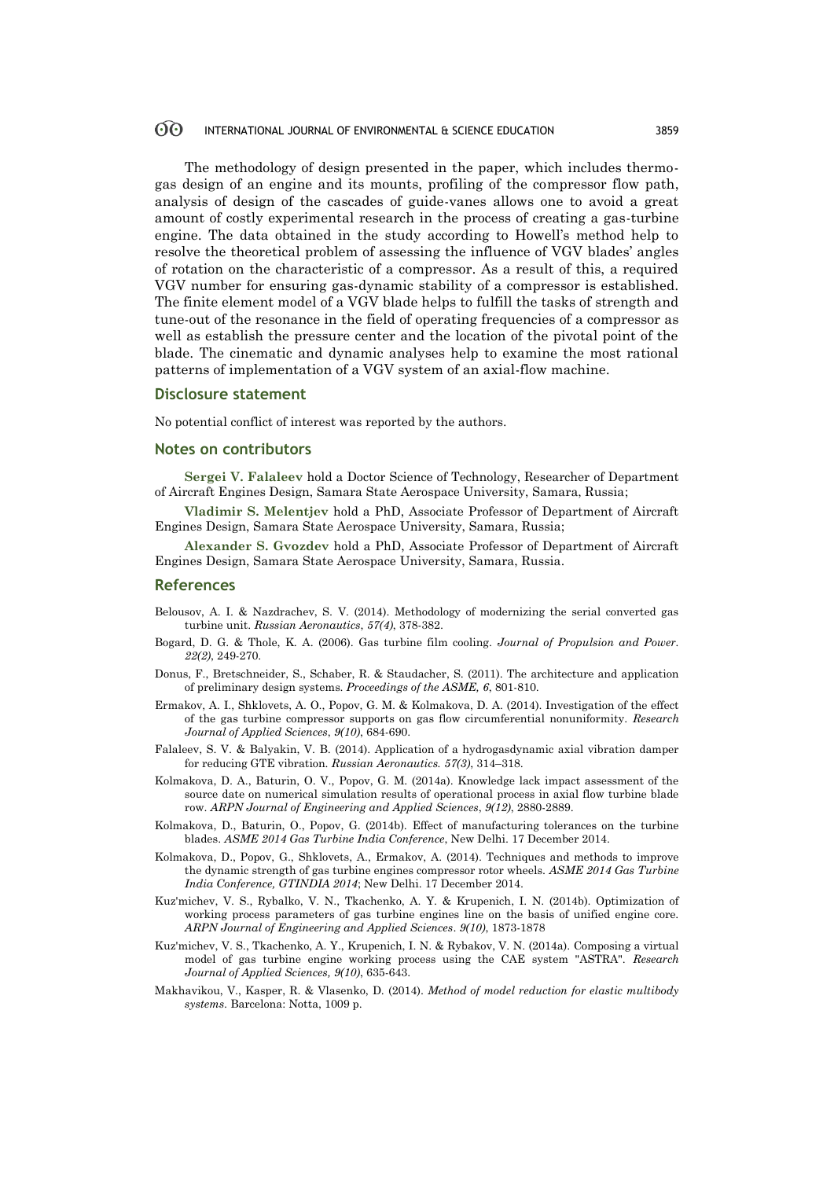The methodology of design presented in the paper, which includes thermogas design of an engine and its mounts, profiling of the compressor flow path, analysis of design of the cascades of guide-vanes allows one to avoid a great amount of costly experimental research in the process of creating a gas-turbine engine. The data obtained in the study according to Howell's method help to resolve the theoretical problem of assessing the influence of VGV blades' angles of rotation on the characteristic of a compressor. As a result of this, a required VGV number for ensuring gas-dynamic stability of a compressor is established. The finite element model of a VGV blade helps to fulfill the tasks of strength and tune-out of the resonance in the field of operating frequencies of a compressor as well as establish the pressure center and the location of the pivotal point of the blade. The cinematic and dynamic analyses help to examine the most rational patterns of implementation of a VGV system of an axial-flow machine.

### **Disclosure statement**

No potential conflict of interest was reported by the authors.

### **Notes on contributors**

**Sergei V. Falaleev** hold a Doctor Science of Technology, Researcher of Department of Aircraft Engines Design, Samara State Aerospace University, Samara, Russia;

**Vladimir S. Melentjev** hold a PhD, Associate Professor of Department of Aircraft Engines Design, Samara State Aerospace University, Samara, Russia;

**Alexander S. Gvozdev** hold a PhD, Associate Professor of Department of Aircraft Engines Design, Samara State Aerospace University, Samara, Russia.

### **References**

- Belousov, A. I. & Nazdrachev, S. V. (2014). Methodology of modernizing the serial converted gas turbine unit. *Russian Aeronautics*, *57(4)*, 378-382.
- Bogard, D. G. & Thole, K. A. (2006). Gas turbine film cooling. *Journal of Propulsion and Power. 22(2)*, 249-270.
- Donus, F., Bretschneider, S., Schaber, R. & Staudacher, S. (2011). The architecture and application of preliminary design systems. *Proceedings of the ASME, 6*, 801-810.
- Ermakov, A. I., Shklovets, A. O., Popov, G. M. & Kolmakova, D. A. (2014). Investigation of the effect of the gas turbine compressor supports on gas flow circumferential nonuniformity. *Research Journal of Applied Sciences*, *9(10)*, 684-690.
- Falaleev, S. V. & Balyakin, V. B. (2014). Application of a hydrogasdynamic axial vibration damper for reducing GTE vibration. *Russian Aeronautics. 57(3)*, 314–318.
- Kolmakova, D. A., Baturin, O. V., Popov, G. M. (2014a). Knowledge lack impact assessment of the source date on numerical simulation results of operational process in axial flow turbine blade row. *ARPN Journal of Engineering and Applied Sciences*, *9(12)*, 2880-2889.
- Kolmakova, D., Baturin, O., Popov, G. (2014b). Effect of manufacturing tolerances on the turbine blades. *ASME 2014 Gas Turbine India Conference*, New Delhi. 17 December 2014.
- Kolmakova, D., Popov, G., Shklovets, A., Ermakov, A. (2014). Techniques and methods to improve the dynamic strength of gas turbine engines compressor rotor wheels. *ASME 2014 Gas Turbine India Conference, GTINDIA 2014*; New Delhi. 17 December 2014.
- Kuz'michev, V. S., Rybalko, V. N., Tkachenko, A. Y. & Krupenich, I. N. (2014b). Optimization of working process parameters of gas turbine engines line on the basis of unified engine core. *ARPN Journal of Engineering and Applied Sciences*. *9(10)*, 1873-1878
- Kuz'michev, V. S., Tkachenko, A. Y., Krupenich, I. N. & Rybakov, V. N. (2014a). Composing a virtual model of gas turbine engine working process using the CAE system "ASTRA". *Research Journal of Applied Sciences, 9(10)*, 635-643.
- Makhavikou, V., Kasper, R. & Vlasenko, D. (2014). *Method of model reduction for elastic multibody systems*. Barcelona: Notta, 1009 p.